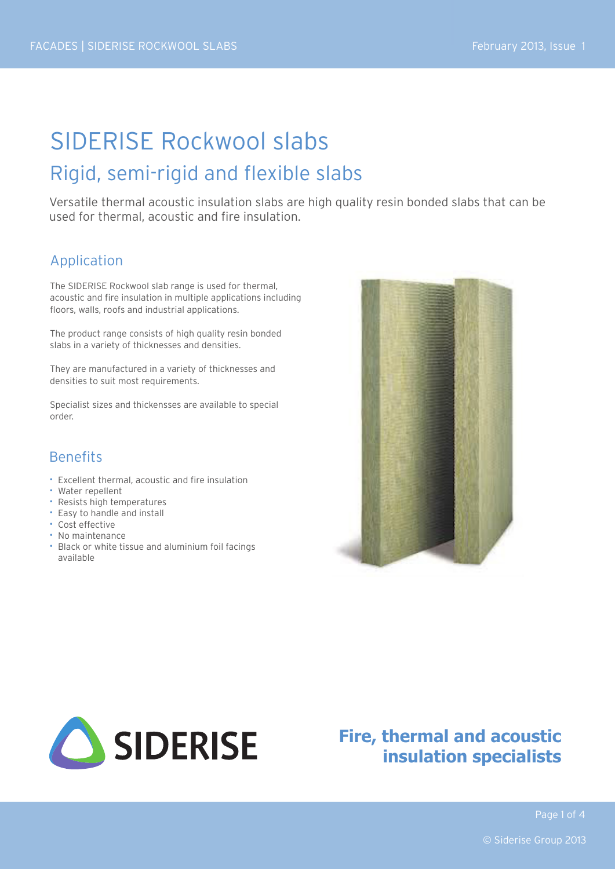# SIDERISE Rockwool slabs Rigid, semi-rigid and flexible slabs

Versatile thermal acoustic insulation slabs are high quality resin bonded slabs that can be used for thermal, acoustic and fire insulation.

### Application

The SIDERISE Rockwool slab range is used for thermal, acoustic and fire insulation in multiple applications including floors, walls, roofs and industrial applications.

The product range consists of high quality resin bonded slabs in a variety of thicknesses and densities.

They are manufactured in a variety of thicknesses and densities to suit most requirements.

Specialist sizes and thickensses are available to special order.

### **Benefits**

- Excellent thermal, acoustic and fire insulation
- Water repellent
- Resists high temperatures
- Easy to handle and install
- Cost effective
- No maintenance
- Black or white tissue and aluminium foil facings available





# **Fire, thermal and acoustic insulation specialists**

Page 1 of 4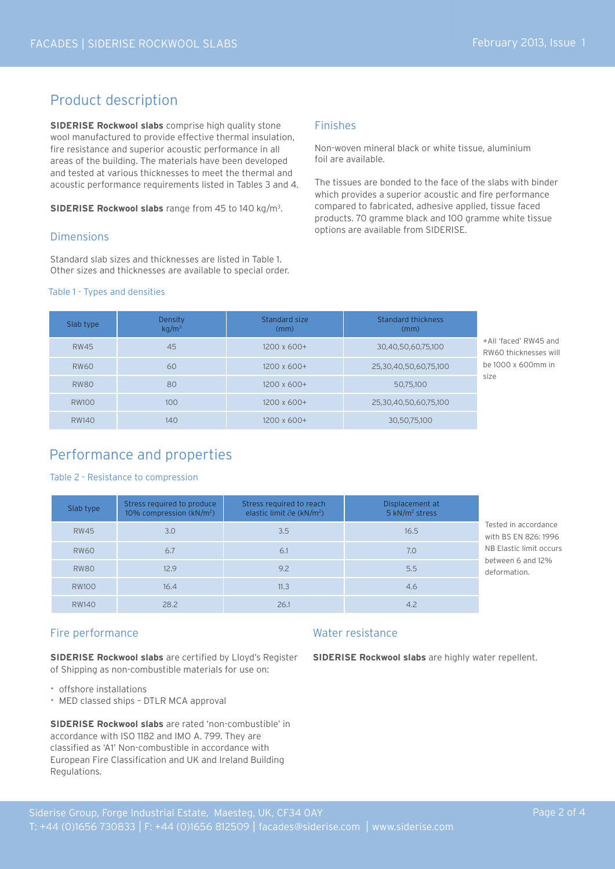### Product description

**SIDERISE Rockwool slabs** comprise high quality stone wool manufactured to provide effective thermal insulation, fire resistance and superior acoustic performance in all areas of the building. The materials have been developed and tested at various thicknesses to meet the thermal and acoustic performance requirements listed in Tables 3 and 4.

**SIDERISE Rockwool slabs** range from 45 to 140 kg/m<sup>3</sup>.

#### Dimensions

Standard slab sizes and thicknesses are listed in Table 1. Other sizes and thicknesses are available to special order.

#### Table 1 - Types and densities

#### Finishes

Non-woven mineral black or white tissue, aluminium foil are available.

The tissues are bonded to the face of the slabs with binder which provides a superior acoustic and fire performance compared to fabricated, adhesive applied, tissue faced products. 70 gramme black and 100 gramme white tissue options are available from SIDERISE.

| Slab type    | Density<br>$kq/m^3$ | Standard size<br>(mm) | Standard thickness<br>(mm) |                       |
|--------------|---------------------|-----------------------|----------------------------|-----------------------|
| <b>RW45</b>  | 45                  | 1200 x 600+           | 30,40,50,60,75,100         | +All 'face<br>RW60 th |
| <b>RW60</b>  | 60                  | $1200 \times 600+$    | 25,30,40,50,60,75,100      | be 1000               |
| <b>RW80</b>  | 80                  | $1200 \times 600+$    | 50,75,100                  | size                  |
| <b>RW100</b> | 100                 | $1200 \times 600+$    | 25,30,40,50,60,75,100      |                       |
| <b>RW140</b> | 140                 | $1200 \times 600+$    | 30,50,75,100               |                       |

 $\alpha'$  RW45 and hicknesses will be 1000 x 600mm in

### Performance and properties

#### Table 2 - Resistance to compression

| Slab type    | Stress required to produce<br>10% compression $(kN/m^2)$ | Stress required to reach<br>elastic limit $\partial$ e (kN/m <sup>2</sup> ) | Displacement at<br>5 kN/m <sup>2</sup> stress |                                              |
|--------------|----------------------------------------------------------|-----------------------------------------------------------------------------|-----------------------------------------------|----------------------------------------------|
| <b>RW45</b>  | 3.0                                                      | 3.5                                                                         | 16.5                                          | Tested in accordance<br>with BS EN 826: 1996 |
| <b>RW60</b>  | 6.7                                                      | 6.1                                                                         | 7.0                                           | NB Elastic limit occurs                      |
| <b>RW80</b>  | 12.9                                                     | 9.2                                                                         | 5.5                                           | between 6 and 12%<br>deformation.            |
| <b>RW100</b> | 16.4                                                     | 11.3                                                                        | 4.6                                           |                                              |
| <b>RW140</b> | 28.2                                                     | 26.1                                                                        | 4.2                                           |                                              |

#### Fire performance

**SIDERISE Rockwool slabs** are certified by Lloyd's Register of Shipping as non-combustible materials for use on:

- offshore installations
- MED classed ships DTLR MCA approval

**SIDERISE Rockwool slabs** are rated 'non-combustible' in accordance with ISO 1182 and IMO A. 799. They are classified as 'A1' Non-combustible in accordance with European Fire Classification and UK and Ireland Building Regulations.

#### Water resistance

**SIDERISE Rockwool slabs** are highly water repellent.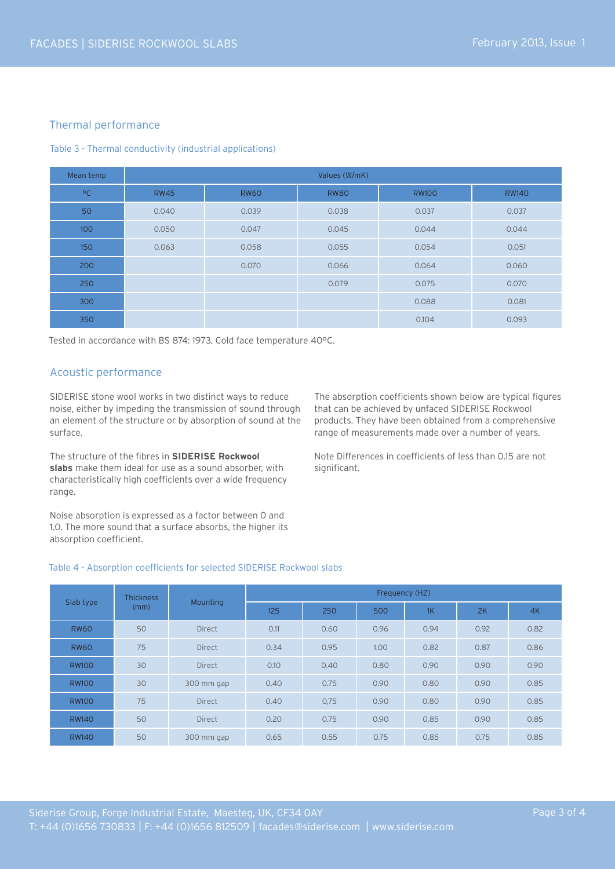#### Thermal performance

#### Table 3 - Thermal conductivity (industrial applications)

| Mean temp    | Values (W/mK) |             |             |              |              |  |
|--------------|---------------|-------------|-------------|--------------|--------------|--|
| $^{\circ}$ C | <b>RW45</b>   | <b>RW60</b> | <b>RW80</b> | <b>RW100</b> | <b>RW140</b> |  |
| 50           | 0.040         | 0.039       | 0.038       | 0.037        | 0.037        |  |
| 100          | 0.050         | 0.047       | 0.045       | 0.044        | 0.044        |  |
| 150          | 0.063         | 0.058       | 0.055       | 0.054        | 0.051        |  |
| 200          |               | 0.070       | 0.066       | 0.064        | 0.060        |  |
| 250          |               |             | 0.079       | 0.075        | 0.070        |  |
| 300          |               |             |             | 0.088        | 0.081        |  |
| 350          |               |             |             | 0.104        | 0.093        |  |

Tested in accordance with BS 874: 1973. Cold face temperature 40°C.

#### Acoustic performance

SIDERISE stone wool works in two distinct ways to reduce noise, either by impeding the transmission of sound through an element of the structure or by absorption of sound at the surface.

The structure of the fibres in **SIDERISE Rockwool slabs** make them ideal for use as a sound absorber, with characteristically high coefficients over a wide frequency range.

Noise absorption is expressed as a factor between 0 and 1.0. The more sound that a surface absorbs, the higher its absorption coefficient.

The absorption coefficients shown below are typical figures that can be achieved by unfaced SIDERISE Rockwool products. They have been obtained from a comprehensive range of measurements made over a number of years.

Note Differences in coefficients of less than 0.15 are not significant.

#### Table 4 - Absorption coefficients for selected SIDERISE Rockwool slabs

| Slab type    | <b>Thickness</b><br>(mm) | <b>Mounting</b> | Frequency (HZ) |      |      |      |      |      |
|--------------|--------------------------|-----------------|----------------|------|------|------|------|------|
|              |                          |                 | 125            | 250  | 500  | 1K   | 2K   | 4K   |
| <b>RW60</b>  | 50                       | <b>Direct</b>   | 0.11           | 0.60 | 0.96 | 0.94 | 0.92 | 0.82 |
| <b>RW60</b>  | 75                       | <b>Direct</b>   | 0.34           | 0.95 | 1.00 | 0.82 | 0.87 | 0.86 |
| <b>RW100</b> | 30                       | <b>Direct</b>   | 0.10           | 0.40 | 0.80 | 0.90 | 0.90 | 0.90 |
| <b>RW100</b> | 30                       | 300 mm gap      | 0.40           | 0.75 | 0.90 | 0.80 | 0.90 | 0.85 |
| <b>RW100</b> | 75                       | <b>Direct</b>   | 0.40           | 0,75 | 0.90 | 0.80 | 0.90 | 0.85 |
| <b>RW140</b> | 50                       | <b>Direct</b>   | 0.20           | 0.75 | 0.90 | 0.85 | 0.90 | 0.85 |
| <b>RW140</b> | 50                       | 300 mm gap      | 0.65           | 0.55 | 0.75 | 0.85 | 0.75 | 0.85 |